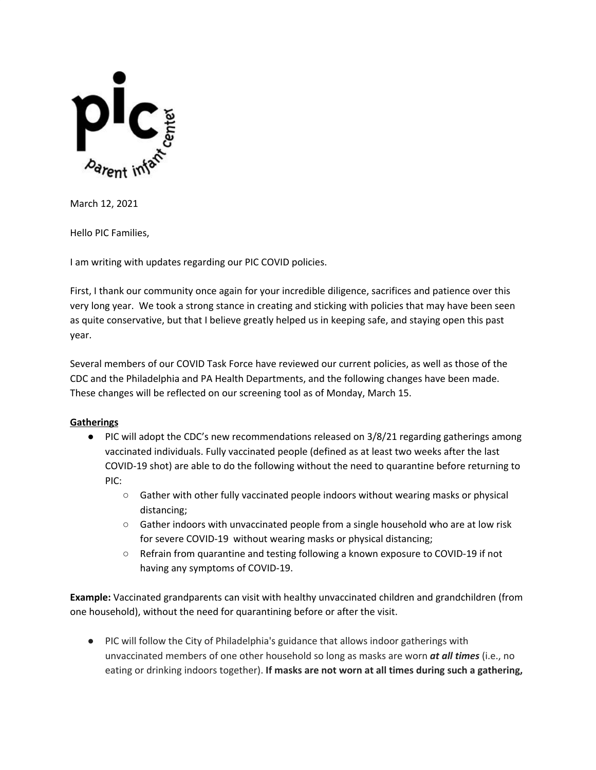

March 12, 2021

Hello PIC Families,

I am writing with updates regarding our PIC COVID policies.

First, I thank our community once again for your incredible diligence, sacrifices and patience over this very long year. We took a strong stance in creating and sticking with policies that may have been seen as quite conservative, but that I believe greatly helped us in keeping safe, and staying open this past year.

Several members of our COVID Task Force have reviewed our current policies, as well as those of the CDC and the Philadelphia and PA Health Departments, and the following changes have been made. These changes will be reflected on our screening tool as of Monday, March 15.

#### **Gatherings**

- PIC will adopt the CDC's new recommendations released on 3/8/21 regarding gatherings among vaccinated individuals. Fully vaccinated people (defined as at least two weeks after the last COVID-19 shot) are able to do the following without the need to quarantine before returning to PIC:
	- Gather with other fully vaccinated people indoors without wearing masks or physical distancing;
	- Gather indoors with unvaccinated people from a single household who are at low risk for severe COVID-19 without wearing masks or physical distancing;
	- Refrain from quarantine and testing following a known exposure to COVID-19 if not having any symptoms of COVID-19.

**Example:** Vaccinated grandparents can visit with healthy unvaccinated children and grandchildren (from one household), without the need for quarantining before or after the visit.

● PIC will follow the City of Philadelphia's guidance that allows indoor gatherings with unvaccinated members of one other household so long as masks are worn *at all times* (i.e., no eating or drinking indoors together). **If masks are not worn at all times during such a gathering,**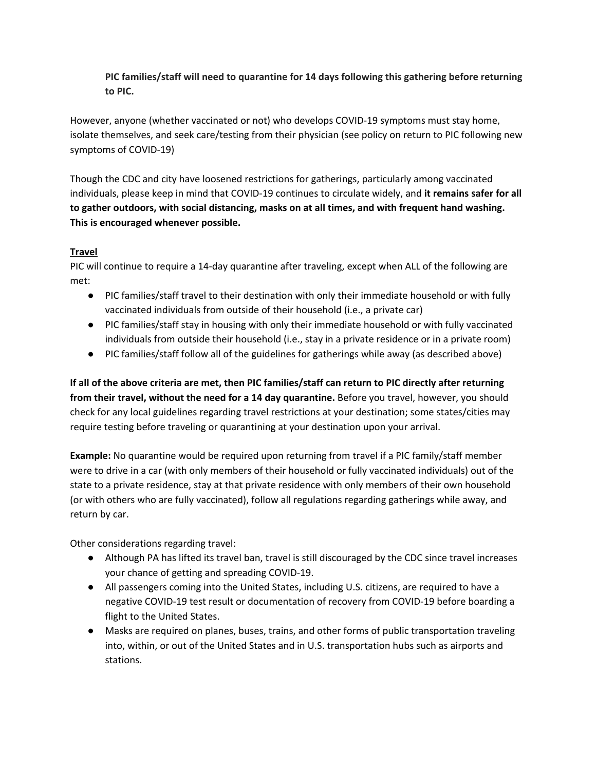# **PIC families/staff will need to quarantine for 14 days following this gathering before returning to PIC.**

However, anyone (whether vaccinated or not) who develops COVID-19 symptoms must stay home, isolate themselves, and seek care/testing from their physician (see policy on return to PIC following new symptoms of COVID-19)

Though the CDC and city have loosened restrictions for gatherings, particularly among vaccinated individuals, please keep in mind that COVID-19 continues to circulate widely, and **it remains safer for all to gather outdoors, with social distancing, masks on at all times, and with frequent hand washing. This is encouraged whenever possible.**

#### **Travel**

PIC will continue to require a 14-day quarantine after traveling, except when ALL of the following are met:

- PIC families/staff travel to their destination with only their immediate household or with fully vaccinated individuals from outside of their household (i.e., a private car)
- PIC families/staff stay in housing with only their immediate household or with fully vaccinated individuals from outside their household (i.e., stay in a private residence or in a private room)
- PIC families/staff follow all of the guidelines for gatherings while away (as described above)

If all of the above criteria are met, then PIC families/staff can return to PIC directly after returning **from their travel, without the need for a 14 day quarantine.** Before you travel, however, you should check for any local guidelines regarding travel restrictions at your destination; some states/cities may require testing before traveling or quarantining at your destination upon your arrival.

**Example:** No quarantine would be required upon returning from travel if a PIC family/staff member were to drive in a car (with only members of their household or fully vaccinated individuals) out of the state to a private residence, stay at that private residence with only members of their own household (or with others who are fully vaccinated), follow all regulations regarding gatherings while away, and return by car.

Other considerations regarding travel:

- Although PA has lifted its travel ban, travel is still discouraged by the CDC since travel increases your chance of getting and spreading COVID-19.
- All passengers coming into the United States, including U.S. citizens, are required to have a negative COVID-19 test result or documentation of recovery from COVID-19 before boarding a flight to the United States.
- Masks are required on planes, buses, trains, and other forms of public transportation traveling into, within, or out of the United States and in U.S. transportation hubs such as airports and stations.